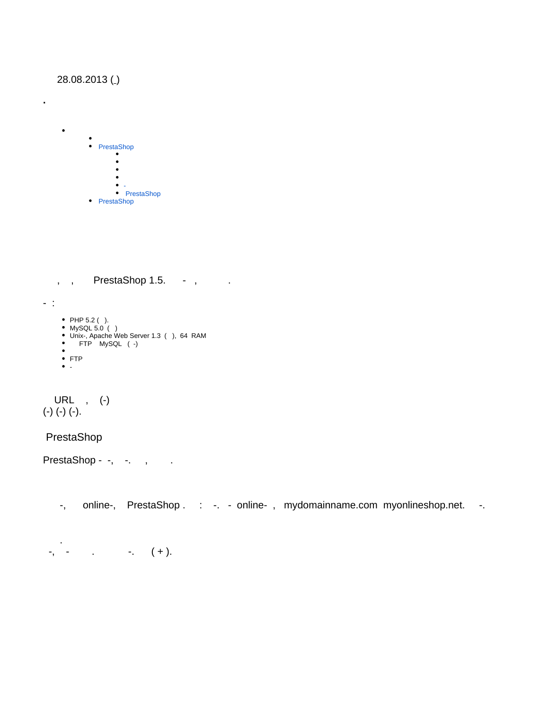# 28.08.2013()

•<br>• PrestaShop  $\bullet$  $\bullet$  $\bullet$ [-](#page-3-0)  [PrestaShop](#page-3-1) • PrestaShop

<span id="page-0-0"></span>, , PrestaShop 1.5. - , .

- :

**·** 

 $\bullet$ 

- PHP 5.2 ( ).
- MySQL 5.0 ( )
- Unix-, Apache Web Server 1.3 ( ), 64 RAM
- FTP MySQL ( -)  $\bullet$
- FTP
- $\bullet$   $\frac{1}{2}$

 URL , (-) (-) (-) (-).

<span id="page-0-1"></span>PrestaShop

PrestaShop - -, -. , .

-, online-, PrestaShop .: -. - online-, mydomainname.com myonlineshop.net. -.

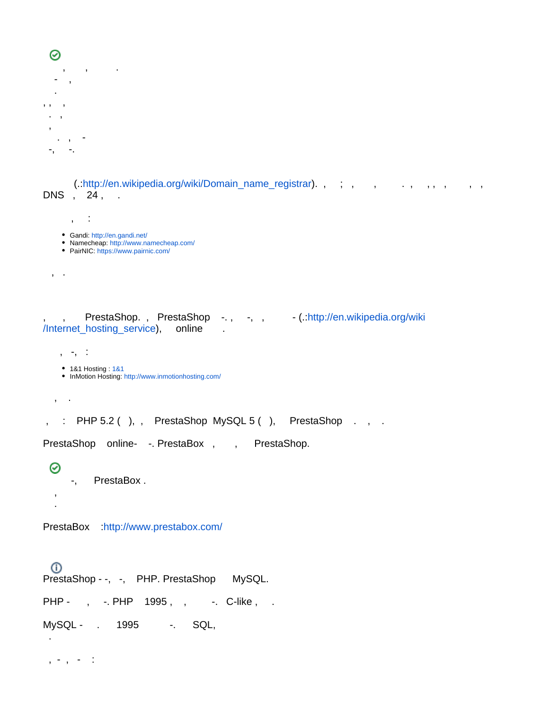```
⊘
     , , .
      - , 
 . 
, , , 
 . , 
  , 
    . , - 
  -, -.
```
(.[:http://en.wikipedia.org/wiki/Domain\\_name\\_registrar\)](http://en.wikipedia.org/wiki/Domain_name_registrar). , ; , , , , , , , , , , , DNS , 24, .

```
 , :
   Gandi: http://en.gandi.net/
   Namecheap: http://www.namecheap.com/
   PairNIC: https://www.pairnic.com/
 , .
```
, PrestaShop., PrestaShop -., -, , - (.[:http://en.wikipedia.org/wiki](http://en.wikipedia.org/wiki/Internet_hosting_service) [/Internet\\_hosting\\_service\)](http://en.wikipedia.org/wiki/Internet_hosting_service), online .

```
 , -, :
```

```
1&1 Hosting : 1&1
```

```
: http://www.inmotionhosting.com/
```
, .

 , .

, : PHP 5.2 (), , PrestaShop MySQL 5 (), PrestaShop . , .

PrestaShop online- - PrestaBox , , PrestaShop.

```
⊗
     -, PrestaBox .
```
PrestaBox :<http://www.prestabox.com/>

⋒ PrestaShop - -, -, PHP. PrestaShop MySQL. PHP - , -. PHP 1995, , -. C-like, . MySQL - . 1995 -. SQL,

, - , -  $\div$ 

.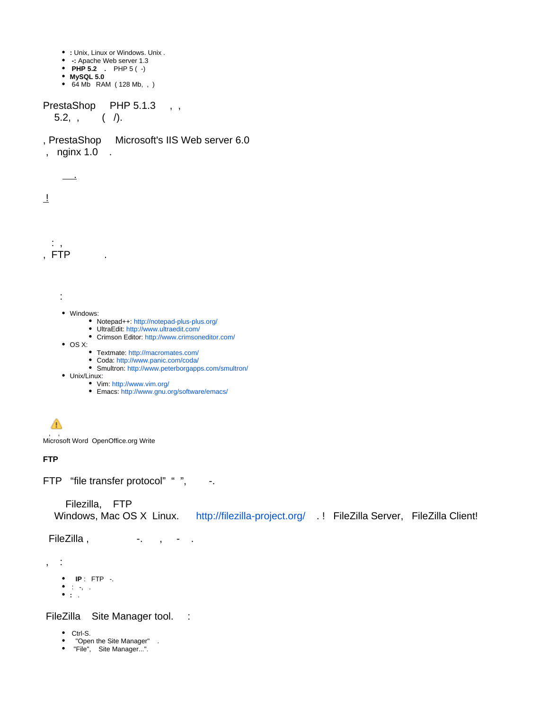- **:** Unix, Linux or Windows. Unix .
- **-:** Apache Web server 1.3
- **PHP 5.2 .** PHP 5 ( -) **MySQL 5.0**
- 64 Mb RAM ( 128 Mb, , )

PrestaShop PHP 5.1.3,  $5.2, , , , ( )$ 

, PrestaShop Microsoft's IIS Web server 6.0 , nginx 1.0 .



- Smultron[: http://www.peterborgapps.com/smultron/](http://www.peterborgapps.com/smultron/)
- Unix/Linux:
	- Vim:<http://www.vim.org/>
	- Emacs[: http://www.gnu.org/software/emacs/](http://www.gnu.org/software/emacs/)

#### Δ , ,

Microsoft Word OpenOffice.org Write

### **FTP**

FTP "file transfer protocol" " ", -.

### Filezilla, FTP

Windows, Mac OS X Linux. <http://filezilla-project.org/>.! FileZilla Server, FileZilla Client!

FileZilla, and a set of the set of the set of the set of the set of the set of the set of the set of the set o

, :

- **IP** : FTP -.
- $\bullet$  : -, .
- **:** .

FileZilla Site Manager tool. :

- Ctrl-S.
- "Open the Site Manager" .
- "File", Site Manager...".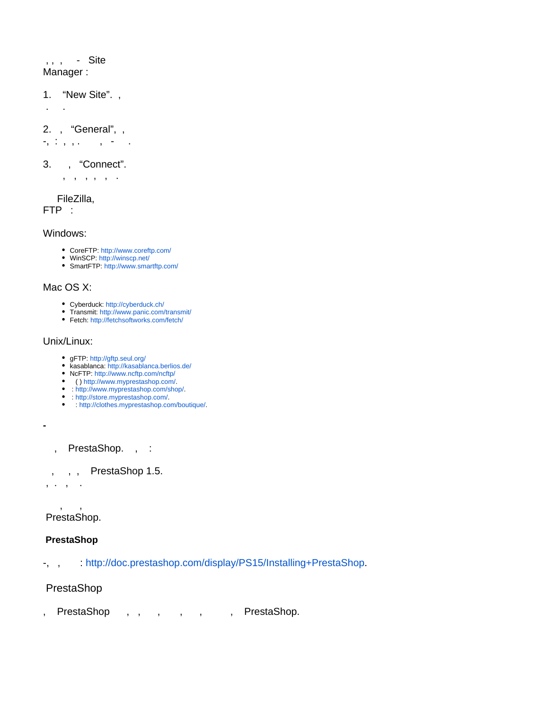, , , - Site Manager :

1. "New Site". ,

. .

2. , "General", ,

 $-$ ,  $\cdot$  ,  $\cdot$ ,  $\cdot$  ,  $-$ ,  $-$ 

### 3. , "Connect".

, , , , , .

FileZilla,

FTP :

Windows:

- CoreFTP: <http://www.coreftp.com/>
- WinSCP: <http://winscp.net/>
- SmartFTP[:](http://www.smartftp.com/) <http://www.smartftp.com/>

# Mac OS X:

- Cyberduck: <http://cyberduck.ch/>
- Transmit[:](http://www.panic.com/transmit/) <http://www.panic.com/transmit/>
- Fetch: <http://fetchsoftworks.com/fetch/>

### Unix/Linux:

- gFTP: <http://gftp.seul.org/>
- kasablanca[:](http://kasablanca.berlios.de/) <http://kasablanca.berlios.de/>
- NcFTP: <http://www.ncftp.com/ncftp/>
- ( [\) http://www.myprestashop.com/.](http://www.myprestashop.com/)
- [: http://www.myprestashop.com/shop/](http://www.myprestashop.com/shop/).
- [: http://store.myprestashop.com/](http://store.myprestashop.com/). [: http://clothes.myprestashop.com/boutique/](http://clothes.myprestashop.com/boutique/).
- , PrestaShop. , :

, , , PrestaShop 1.5.

, . , .

<span id="page-3-0"></span>**-**

 , , PrestaShop.

# <span id="page-3-1"></span> **PrestaShop**

-, , : [http://doc.prestashop.com/display/PS15/Installing+PrestaShop.](http://doc.prestashop.com/display/PS15/Installing+PrestaShop)

<span id="page-3-2"></span>PrestaShop

, PrestaShop, , , , , , , , PrestaShop.